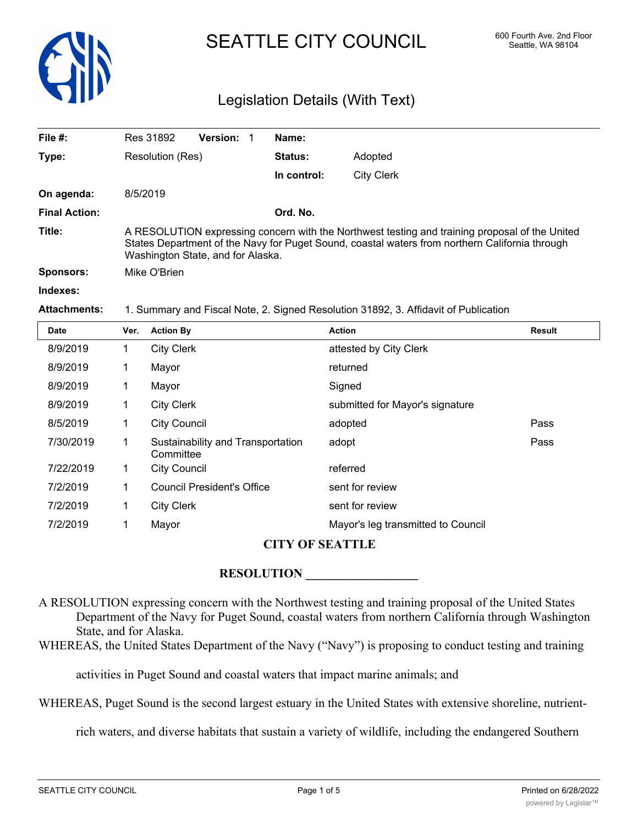

# SEATTLE CITY COUNCIL 600 Fourth Ave. 2nd Floor

### Legislation Details (With Text)

| File $#$ :           | Res 31892                                                                                                                                                                                                                             | <b>Version:</b> | Name:          |                   |  |
|----------------------|---------------------------------------------------------------------------------------------------------------------------------------------------------------------------------------------------------------------------------------|-----------------|----------------|-------------------|--|
| Type:                | Resolution (Res)                                                                                                                                                                                                                      |                 | <b>Status:</b> | Adopted           |  |
|                      |                                                                                                                                                                                                                                       |                 | In control:    | <b>City Clerk</b> |  |
| On agenda:           | 8/5/2019                                                                                                                                                                                                                              |                 |                |                   |  |
| <b>Final Action:</b> |                                                                                                                                                                                                                                       |                 | Ord. No.       |                   |  |
| Title:               | A RESOLUTION expressing concern with the Northwest testing and training proposal of the United<br>States Department of the Navy for Puget Sound, coastal waters from northern California through<br>Washington State, and for Alaska. |                 |                |                   |  |
| Sponsors:            | Mike O'Brien                                                                                                                                                                                                                          |                 |                |                   |  |
| Indexes:             |                                                                                                                                                                                                                                       |                 |                |                   |  |

**Attachments:** 1. Summary and Fiscal Note, 2. Signed Resolution 31892, 3. Affidavit of Publication

| <b>Date</b> | Ver. | <b>Action By</b>                               | <b>Action</b>                      | <b>Result</b> |
|-------------|------|------------------------------------------------|------------------------------------|---------------|
| 8/9/2019    | 1    | <b>City Clerk</b>                              | attested by City Clerk             |               |
| 8/9/2019    | 1    | Mayor                                          | returned                           |               |
| 8/9/2019    | 1    | Mayor                                          | Signed                             |               |
| 8/9/2019    | 1    | <b>City Clerk</b>                              | submitted for Mayor's signature    |               |
| 8/5/2019    | 1    | <b>City Council</b>                            | adopted                            | Pass          |
| 7/30/2019   | 1    | Sustainability and Transportation<br>Committee | adopt                              | Pass          |
| 7/22/2019   | 1    | <b>City Council</b>                            | referred                           |               |
| 7/2/2019    | 1    | <b>Council President's Office</b>              | sent for review                    |               |
| 7/2/2019    | 1    | <b>City Clerk</b>                              | sent for review                    |               |
| 7/2/2019    | 1    | Mayor                                          | Mayor's leg transmitted to Council |               |
|             |      |                                                |                                    |               |

#### **CITY OF SEATTLE**

#### ${\bf RESOLUTION}$

A RESOLUTION expressing concern with the Northwest testing and training proposal of the United States Department of the Navy for Puget Sound, coastal waters from northern California through Washington State, and for Alaska.

WHEREAS, the United States Department of the Navy ("Navy") is proposing to conduct testing and training

activities in Puget Sound and coastal waters that impact marine animals; and

WHEREAS, Puget Sound is the second largest estuary in the United States with extensive shoreline, nutrient-

rich waters, and diverse habitats that sustain a variety of wildlife, including the endangered Southern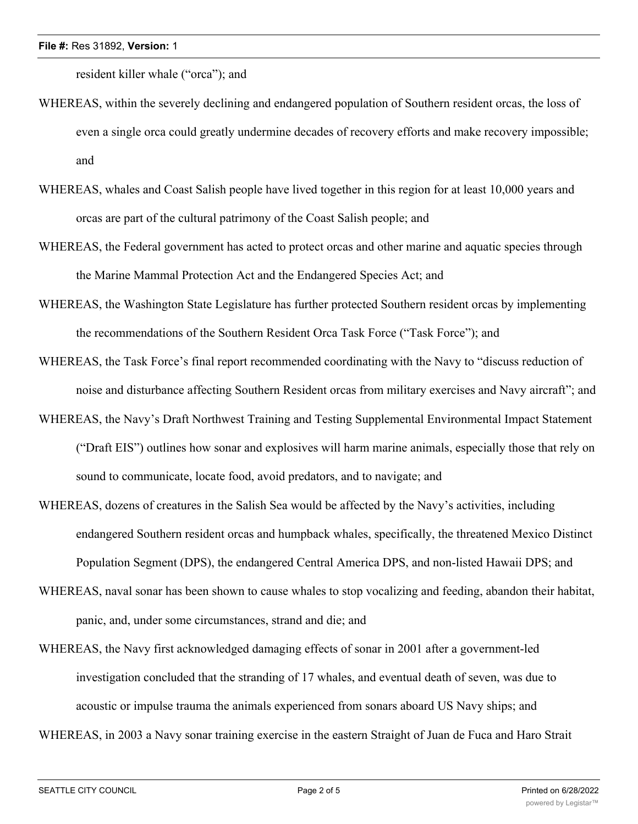resident killer whale ("orca"); and

- WHEREAS, within the severely declining and endangered population of Southern resident orcas, the loss of even a single orca could greatly undermine decades of recovery efforts and make recovery impossible; and
- WHEREAS, whales and Coast Salish people have lived together in this region for at least 10,000 years and orcas are part of the cultural patrimony of the Coast Salish people; and
- WHEREAS, the Federal government has acted to protect orcas and other marine and aquatic species through the Marine Mammal Protection Act and the Endangered Species Act; and
- WHEREAS, the Washington State Legislature has further protected Southern resident orcas by implementing the recommendations of the Southern Resident Orca Task Force ("Task Force"); and
- WHEREAS, the Task Force's final report recommended coordinating with the Navy to "discuss reduction of noise and disturbance affecting Southern Resident orcas from military exercises and Navy aircraft"; and
- WHEREAS, the Navy's Draft Northwest Training and Testing Supplemental Environmental Impact Statement ("Draft EIS") outlines how sonar and explosives will harm marine animals, especially those that rely on sound to communicate, locate food, avoid predators, and to navigate; and
- WHEREAS, dozens of creatures in the Salish Sea would be affected by the Navy's activities, including endangered Southern resident orcas and humpback whales, specifically, the threatened Mexico Distinct Population Segment (DPS), the endangered Central America DPS, and non-listed Hawaii DPS; and
- WHEREAS, naval sonar has been shown to cause whales to stop vocalizing and feeding, abandon their habitat, panic, and, under some circumstances, strand and die; and
- WHEREAS, the Navy first acknowledged damaging effects of sonar in 2001 after a government-led investigation concluded that the stranding of 17 whales, and eventual death of seven, was due to acoustic or impulse trauma the animals experienced from sonars aboard US Navy ships; and

WHEREAS, in 2003 a Navy sonar training exercise in the eastern Straight of Juan de Fuca and Haro Strait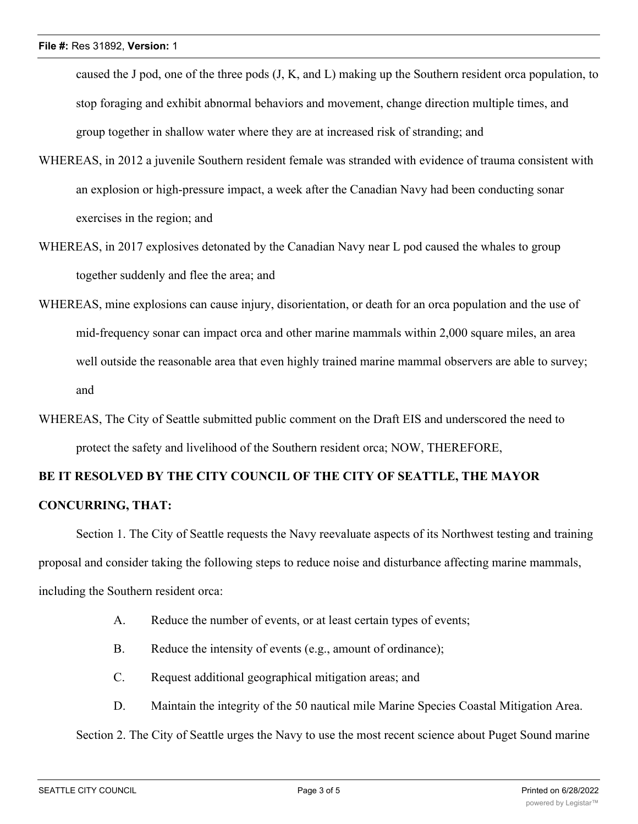caused the J pod, one of the three pods (J, K, and L) making up the Southern resident orca population, to stop foraging and exhibit abnormal behaviors and movement, change direction multiple times, and group together in shallow water where they are at increased risk of stranding; and

- WHEREAS, in 2012 a juvenile Southern resident female was stranded with evidence of trauma consistent with an explosion or high-pressure impact, a week after the Canadian Navy had been conducting sonar exercises in the region; and
- WHEREAS, in 2017 explosives detonated by the Canadian Navy near L pod caused the whales to group together suddenly and flee the area; and
- WHEREAS, mine explosions can cause injury, disorientation, or death for an orca population and the use of mid-frequency sonar can impact orca and other marine mammals within 2,000 square miles, an area well outside the reasonable area that even highly trained marine mammal observers are able to survey; and
- WHEREAS, The City of Seattle submitted public comment on the Draft EIS and underscored the need to protect the safety and livelihood of the Southern resident orca; NOW, THEREFORE,

## **BE IT RESOLVED BY THE CITY COUNCIL OF THE CITY OF SEATTLE, THE MAYOR CONCURRING, THAT:**

Section 1. The City of Seattle requests the Navy reevaluate aspects of its Northwest testing and training proposal and consider taking the following steps to reduce noise and disturbance affecting marine mammals, including the Southern resident orca:

- A. Reduce the number of events, or at least certain types of events;
- B. Reduce the intensity of events (e.g., amount of ordinance);
- C. Request additional geographical mitigation areas; and
- D. Maintain the integrity of the 50 nautical mile Marine Species Coastal Mitigation Area.

Section 2. The City of Seattle urges the Navy to use the most recent science about Puget Sound marine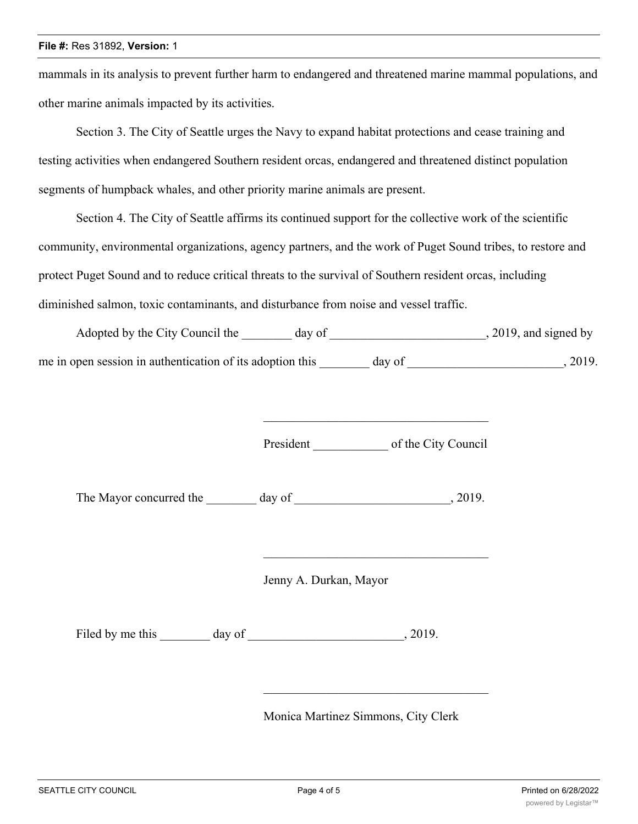#### **File #:** Res 31892, **Version:** 1

mammals in its analysis to prevent further harm to endangered and threatened marine mammal populations, and other marine animals impacted by its activities.

Section 3. The City of Seattle urges the Navy to expand habitat protections and cease training and testing activities when endangered Southern resident orcas, endangered and threatened distinct population segments of humpback whales, and other priority marine animals are present.

Section 4. The City of Seattle affirms its continued support for the collective work of the scientific community, environmental organizations, agency partners, and the work of Puget Sound tribes, to restore and protect Puget Sound and to reduce critical threats to the survival of Southern resident orcas, including diminished salmon, toxic contaminants, and disturbance from noise and vessel traffic.

| Adopted by the City Council the                           | dav of | $, 2019$ , and signed by |
|-----------------------------------------------------------|--------|--------------------------|
| me in open session in authentication of its adoption this | day of | 2019.                    |

President of the City Council

\_\_\_\_\_\_\_\_\_\_\_\_\_\_\_\_\_\_\_\_\_\_\_\_\_\_\_\_\_\_\_\_\_\_\_\_

The Mayor concurred the day of the  $\sim$ , 2019.

Jenny A. Durkan, Mayor

Filed by me this day of , 2019.

Monica Martinez Simmons, City Clerk